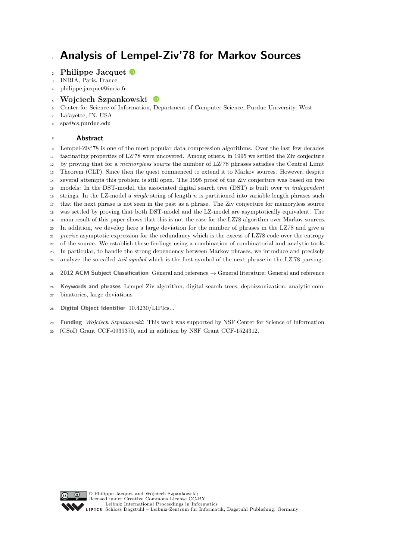# **Analysis of Lempel-Ziv'78 for Markov Sources**

# **Philippe Jacquet**

- INRIA, Paris, France
- [philippe.jacquet@inria.fr](mailto:philippe.jacquet@inria.fr)
- **Wojciech Szpankowski**
- Center for Science of Information, Department of Computer Science, Purdue University, West

Lafayette, IN, USA

[spa@cs.purdue.edu](mailto:spa@cs.purdue.edu)

## **Abstract**

 Lempel-Ziv'78 is one of the most popular data compression algorithms. Over the last few decades fascinating properties of LZ'78 were uncovered. Among others, in 1995 we settled the Ziv conjecture by proving that for a *memoryless source* the number of LZ'78 phrases satisfies the Central Limit Theorem (CLT). Since then the quest commenced to extend it to Markov sources. However, despite several attempts this problem is still open. The 1995 proof of the Ziv conjecture was based on two models: In the DST-model, the associated digital search tree (DST) is built over *m independent* strings. In the LZ-model a *single* string of length *n* is partitioned into variable length phrases such that the next phrase is not seen in the past as a phrase. The Ziv conjecture for memoryless source was settled by proving that both DST-model and the LZ-model are asymptotically equivalent. The main result of this paper shows that this is not the case for the LZ78 algorithm over Markov sources. In addition, we develop here a large deviation for the number of phrases in the LZ78 and give a *precise* asymptotic expression for the redundancy which is the excess of LZ78 code over the entropy of the source. We establish these findings using a combination of combinatorial and analytic tools. In particular, to handle the strong dependency between Markov phrases, we introduce and precisely analyze the so called *tail symbol* which is the first symbol of the next phrase in the LZ'78 parsing.

**2012 ACM Subject Classification** General and reference → General literature; General and reference

- **Keywords and phrases** Lempel-Ziv algorithm, digital search trees, depoissonization, analytic com-
- binatorics, large deviations
- **Digital Object Identifier** [10.4230/LIPIcs...](https://doi.org/10.4230/LIPIcs...)
- **Funding** *Wojciech Szpankowski*: This work was supported by NSF Center for Science of Information
- (CSoI) Grant CCF-0939370, and in addition by NSF Grant CCF-1524312.

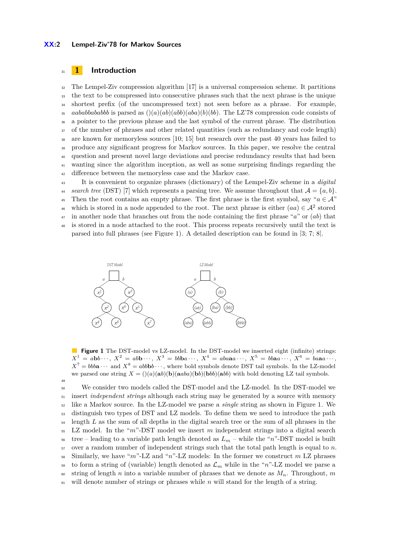#### **XX:2 Lempel-Ziv'78 for Markov Sources**

# <sup>31</sup> **1 Introduction**

49

 The Lempel-Ziv compression algorithm [\[17\]](#page-13-0) is a universal compression scheme. It partitions the text to be compressed into consecutive phrases such that the next phrase is the unique shortest prefix (of the uncompressed text) not seen before as a phrase. For example, *aababbababbb* is parsed as  $((a)(ab)(abb)(aba)(b)(bb)$ . The LZ'78 compression code consists of a pointer to the previous phrase and the last symbol of the current phrase. The distribution <sup>37</sup> of the number of phrases and other related quantities (such as redundancy and code length) are known for memoryless sources [\[10;](#page-13-1) [15\]](#page-13-2) but research over the past 40 years has failed to produce any significant progress for Markov sources. In this paper, we resolve the central question and present novel large deviations and precise redundancy results that had been wanting since the algorithm inception, as well as some surprising findings regarding the 42 difference between the memoryless case and the Markov case.

<sup>43</sup> It is convenient to organize phrases (dictionary) of the Lempel-Ziv scheme in a *digital* 44 *search tree* (DST) [\[7\]](#page-13-3) which represents a parsing tree. We assume throughout that  $A = \{a, b\}$ . <sup>45</sup> Then the root contains an empty phrase. The first phrase is the first symbol, say " $a \in A$ " which is stored in a node appended to the root. The next phrase is either  $(aa) \in \mathcal{A}^2$  stored <sup>47</sup> in another node that branches out from the node containing the first phrase "*a*" or (*ab*) that

<sup>48</sup> is stored in a node attached to the root. This process repeats recursively until the text is parsed into full phrases (see Figure [1\)](#page-1-0). A detailed description can be found in [\[3;](#page-13-4) [7;](#page-13-3) [8\]](#page-13-5).

<span id="page-1-0"></span>

**Figure 1** The DST-model vs LZ-model. In the DST-model we inserted eight (infinite) strings:  $X^1 = abb \cdots$ ,  $X^2 = abb \cdots$ ,  $X^3 = bbba \cdots$ ,  $X^4 = abaaa \cdots$ ,  $X^5 = bbaa \cdots$ ,  $X^6 = baaa \cdots$ ,  $X^7 = bbba \cdots$  and  $X^8 = abbbb \cdots$ , where bold symbols denote DST tail symbols. In the LZ-model we parsed one string  $X = ()(a)(ab)(b)(ab)(bb)(abb)$  with bold denoting LZ tail symbols.

 We consider two models called the DST-model and the LZ-model. In the DST-model we insert *independent strings* although each string may be generated by a source with memory like a Markov source. In the LZ-model we parse a *single* string as shown in Figure [1.](#page-1-0) We distinguish two types of DST and LZ models. To define them we need to introduce the path <sup>54</sup> length *L* as the sum of all depths in the digital search tree or the sum of all phrases in the LZ model. In the "*m*"-DST model we insert *m* independent strings into a digital search tree – leading to a variable path length denoted as  $L_m$  – while the "*n*"-DST model is built over a random number of independent strings such that the total path length is equal to *n*. Similarly, we have "*m*"-LZ and "*n*"-LZ models: In the former we construct *m* LZ phrases 59 to form a string of (variable) length denoted as  $\mathcal{L}_m$  while in the "*n*"-LZ model we parse a 60 string of length *n* into a variable number of phrases that we denote as  $M_n$ . Throughout, *m* will denote number of strings or phrases while *n* will stand for the length of a string.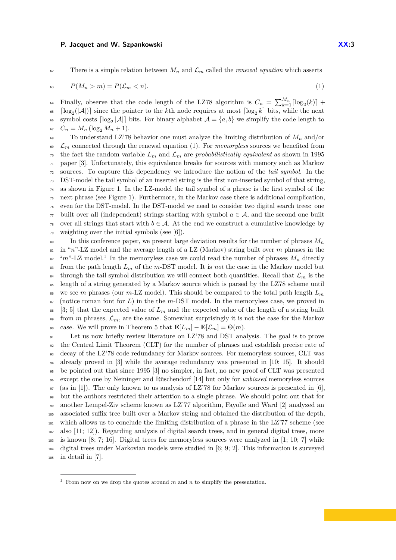62 There is a simple relation between  $M_n$  and  $\mathcal{L}_m$  called the *renewal equation* which asserts

<span id="page-2-0"></span>
$$
P(M_n > m) = P(\mathcal{L}_m < n). \tag{1}
$$

Finally, observe that the code length of the LZ78 algorithm is  $C_n = \sum_{k=1}^{M_n} \lceil \log_2(k) \rceil$  +  $\log_2(|\mathcal{A}|)$  since the pointer to the *k*th node requires at most  $\lceil \log_2 k \rceil$  bits, while the next 66 symbol costs  $\lceil \log_2 |\mathcal{A}| \rceil$  bits. For binary alphabet  $\mathcal{A} = \{a, b\}$  we simplify the code length to  $C_n = M_n (\log_2 M_n + 1).$ 

<sup>68</sup> To understand LZ'78 behavior one must analyze the limiting distribution of  $M_n$  and/or  $\epsilon_{0}$  C<sub>m</sub> connected through the renewal equation [\(1\)](#page-2-0). For *memoryless* sources we benefited from  $\tau$ <sup>0</sup> the fact the random variable  $L_m$  and  $\mathcal{L}_m$  are *probabilistically equivalent* as shown in 1995 paper [\[3\]](#page-13-4). Unfortunately, this equivalence breaks for sources with memory such as Markov sources. To capture this dependency we introduce the notion of the *tail symbol*. In the DST-model the tail symbol of an inserted string is the first non-inserted symbol of that string, as shown in Figure [1.](#page-1-0) In the LZ-model the tail symbol of a phrase is the first symbol of the next phrase (see Figure [1\)](#page-1-0). Furthermore, in the Markov case there is additional complication, even for the DST-model. In the DST-model we need to consider two digital search trees: one built over all (independent) strings starting with symbol  $a \in \mathcal{A}$ , and the second one built <sup>78</sup> over all strings that start with  $b \in \mathcal{A}$ . At the end we construct a cumulative knowledge by weighting over the initial symbols (see [\[6\]](#page-13-6)).

 $\epsilon$ <sup>80</sup> In this conference paper, we present large deviation results for the number of phrases  $M_n$ <sup>81</sup> in "*n*"-LZ model and the average length of a LZ (Markov) string built over *m* phrases in the <sup>82</sup> " $m$ "-LZ model.<sup>[1](#page-2-1)</sup> In the memoryless case we could read the number of phrases  $M_n$  directly  $\frac{1}{83}$  from the path length  $L_m$  of the *m*-DST model. It is *not* the case in the Markov model but <sup>84</sup> through the tail symbol distribution we will connect both quantities. Recall that  $\mathcal{L}_m$  is the <sup>85</sup> length of a string generated by a Markov source which is parsed by the LZ78 scheme until <sup>86</sup> we see *m* phrases (our *m*-LZ model). This should be compared to the total path length  $L_m$ <sup>87</sup> (notice roman font for *L*) in the the *m*-DST model. In the memoryless case, we proved in 88 [\[3;](#page-13-4) [5\]](#page-13-7) that the expected value of  $L_m$  and the expected value of the length of a string built <sup>89</sup> from *m* phrases,  $\mathcal{L}_m$ , are the same. Somewhat surprisingly it is not the case for the Markov 90 case. We will prove in Theorem [5](#page-6-0) that  $\mathbf{E}[L_m] - \mathbf{E}[\mathcal{L}_m] = \Theta(m)$ .

 Let us now briefly review literature on LZ'78 and DST analysis. The goal is to prove the Central Limit Theorem (CLT) for the number of phrases and establish precise rate of decay of the LZ'78 code redundancy for Markov sources. For memoryless sources, CLT was already proved in [\[3\]](#page-13-4) while the average redundancy was presented in [\[10;](#page-13-1) [15\]](#page-13-2). It should be pointed out that since 1995 [\[3\]](#page-13-4) no simpler, in fact, no new proof of CLT was presented except the one by Neininger and Rüschendorf [\[14\]](#page-13-8) but only for *unbiased* memoryless sources  $97 \text{ (as in [1])}$  $97 \text{ (as in [1])}$  $97 \text{ (as in [1])}$ . The only known to us analysis of LZ'78 for Markov sources is presented in [\[6\]](#page-13-6). but the authors restricted their attention to a single phrase. We should point out that for another Lempel-Ziv scheme known as LZ'77 algorithm, Fayolle and Ward [\[2\]](#page-13-10) analyzed an associated suffix tree built over a Markov string and obtained the distribution of the depth, which allows us to conclude the limiting distribution of a phrase in the LZ'77 scheme (see also [\[11;](#page-13-11) [12\]](#page-13-12)). Regarding analysis of digital search trees, and in general digital trees, more  $_{103}$  is known [\[8;](#page-13-5) [7;](#page-13-3) [16\]](#page-13-13). Digital trees for memoryless sources were analyzed in [\[1;](#page-13-9) [10;](#page-13-1) [7\]](#page-13-3) while digital trees under Markovian models were studied in [\[6;](#page-13-6) [9;](#page-13-14) [2\]](#page-13-10). This information is surveyed in detail in [\[7\]](#page-13-3).

<span id="page-2-1"></span>From now on we drop the quotes around *m* and *n* to simplify the presentation.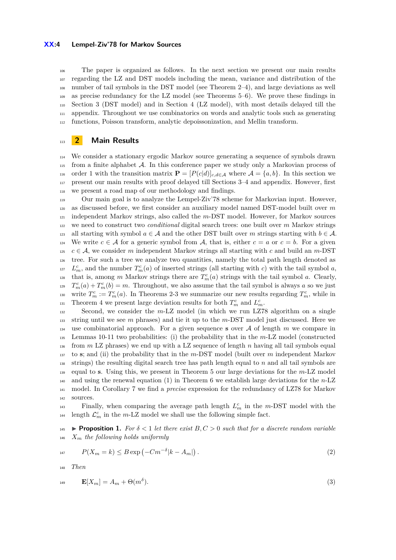#### **XX:4 Lempel-Ziv'78 for Markov Sources**

 The paper is organized as follows. In the next section we present our main results regarding the LZ and DST models including the mean, variance and distribution of the number of tail symbols in the DST model (see Theorem [2–](#page-5-0)[4\)](#page-6-1), and large deviations as well as precise redundancy for the LZ model (see Theorems [5](#page-6-0)[–6\)](#page-6-2). We prove these findings in Section [3](#page-7-0) (DST model) and in Section [4](#page-8-0) (LZ model), with most details delayed till the appendix. Throughout we use combinatorics on words and analytic tools such as generating functions, Poisson transform, analytic depoissonization, and Mellin transform.

## **2 Main Results**

 We consider a stationary ergodic Markov source generating a sequence of symbols drawn from a finite alphabet A. In this conference paper we study only a Markovian process of 116 order 1 with the transition matrix  $\mathbf{P} = [P(c|d)]_{c,d \in \mathcal{A}}$  where  $\mathcal{A} = \{a,b\}$ . In this section we present our main results with proof delayed till Sections [3](#page-7-0)[–4](#page-8-0) and appendix. However, first we present a road map of our methodology and findings.

 Our main goal is to analyze the Lempel-Ziv'78 scheme for Markovian input. However, as discussed before, we first consider an auxiliary model named DST-model built over *m* independent Markov strings, also called the *m*-DST model. However, for Markov sources we need to construct two *conditional* digital search trees: one built over *m* Markov strings 123 all starting with symbol  $a \in \mathcal{A}$  and the other DST built over *m* strings starting with  $b \in \mathcal{A}$ . 124 We write  $c \in \mathcal{A}$  for a generic symbol from  $\mathcal{A}$ , that is, either  $c = a$  or  $c = b$ . For a given 125  $c \in \mathcal{A}$ , we consider *m* independent Markov strings all starting with *c* and build an *m*-DST tree. For such a tree we analyze two quantities, namely the total path length denoted as <sup>127</sup> *L*<sub>*m*</sub></sub>, and the number  $T_m^c(a)$  of inserted strings (all starting with *c*) with the tail symbol *a*, that is, among *m* Markov strings there are  $T_m^c(a)$  strings with the tail symbol *a*. Clearly,  $T_m^c(a) + T_m^c(b) = m$ . Throughout, we also assume that the tail symbol is always *a* so we just write  $T_m^c := T_m^c(a)$ . In Theorems [2-](#page-5-0)[3](#page-5-1) we summarize our new results regarding  $T_m^c$ , while in Theorem [4](#page-6-1) we present large deviation results for both  $T_m^c$  and  $L_m^c$ .

 Second, we consider the *m*-LZ model (in which we run LZ78 algorithm on a single string until we see *m* phrases) and tie it up to the *m*-DST model just discussed. Here we 134 use combinatorial approach. For a given sequence **s** over  $A$  of length  $m$  we compare in Lemmas [10-](#page-9-0)[11](#page-10-0) two probabilities: (i) the probability that in the *m*-LZ model (constructed from *m* LZ phrases) we end up with a LZ sequence of length *n* having all tail symbols equal to **s**; and (ii) the probability that in the *m*-DST model (built over *m* independent Markov strings) the resulting digital search tree has path length equal to *n* and all tail symbols are equal to **s**. Using this, we present in Theorem [5](#page-6-0) our large deviations for the *m*-LZ model and using the renewal equation [\(1\)](#page-2-0) in Theorem [6](#page-6-2) we establish large deviations for the *n*-LZ model. In Corollary [7](#page-7-1) we find a *precise* expression for the redundancy of LZ78 for Markov sources.

 $F_{143}$  Finally, when comparing the average path length  $L_m^c$  in the *m*-DST model with the <sup>144</sup> length  $\mathcal{L}_m^c$  in the *m*-LZ model we shall use the following simple fact.

<span id="page-3-0"></span>**145 Proposition 1.** For  $\delta < 1$  let there exist  $B, C > 0$  such that for a discrete random variable *X<sup>m</sup> the following holds uniformly*

$$
P(X_m = k) \le B \exp\left(-Cm^{-\delta}|k - A_m|\right). \tag{2}
$$

*Then*

$$
\mathbf{E}[X_m] = A_m + \Theta(m^\delta). \tag{3}
$$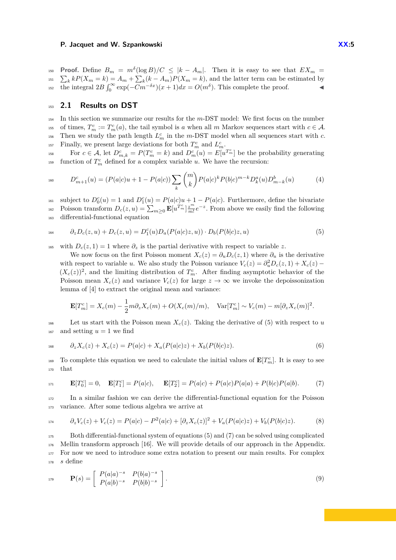**Proof.** Define  $B_m = m^{\delta} (\log B)/C \leq |k - A_m|$ . Then it is easy to see that  $EX_m =$ <sup>151</sup>  $\sum_{k} kP(X_m = k) = A_m + \sum_{k} (k - A_m)P(X_m = k)$ , and the latter term can be estimated by the integral  $2B \int_0^\infty \exp(-Cm^{-\delta x})(x+1)dx = O(m^{\delta})$ . This complete the proof.

# <sup>153</sup> **2.1 Results on DST**

<sup>154</sup> In this section we summarize our results for the *m*-DST model: We first focus on the number <sup>155</sup> of times,  $T_m^c := T_m^c(a)$ , the tail symbol is *a* when all *m* Markov sequences start with  $c \in \mathcal{A}$ . <sup>156</sup> Then we study the path length  $L_m^c$  in the *m*-DST model when all sequences start with *c*.  $F_{m}$  is Finally, we present large deviations for both  $T_{m}^{c}$  and  $L_{m}^{c}$ .

For  $c \in \mathcal{A}$ , let  $D_{m,k}^c = P(T_m^c = k)$  and  $D_m^c(u) = E[u^{T_m^c}]$  be the probability generating <sup>159</sup> function of  $T_m^c$  defined for a complex variable *u*. We have the recursion:

$$
D_{m+1}^{c}(u) = (P(a|c)u + 1 - P(a|c)) \sum_{k} {m \choose k} P(a|c)^{k} P(b|c)^{m-k} D_{k}^{a}(u) D_{m-k}^{b}(u)
$$
(4)

 $D_0^c(u) = 1$  and  $D_1^c(u) = P(a|c)u + 1 - P(a|c)$ . Furthermore, define the bivariate  $P_{\text{o}}(z, u) = \sum_{m \geq 0} \mathbf{E}[u^{T_m^c}] \frac{z^m}{m!} e^{-z}$ . From above we easily find the following <sup>163</sup> differential-functional equation

$$
{}_{164} \qquad \partial_z D_c(z, u) + D_c(z, u) = D_1^c(u) D_a(P(a|c)z, u)) \cdot D_b(P(b|c)z, u) \tag{5}
$$

165 with  $D_c(z, 1) = 1$  where  $\partial_z$  is the partial derivative with respect to variable z.

<span id="page-4-0"></span>We now focus on the first Poisson moment  $X_c(z) = \partial_u D_c(z, 1)$  where  $\partial_u$  is the derivative with respect to variable *u*. We also study the Poisson variance  $V_c(z) = \partial_u^2 D_c(z, 1) + X_c(z)$  $(X_c(z))^2$ , and the limiting distribution of  $T_m^c$ . After finding asymptotic behavior of the Poisson mean  $X_c(z)$  and variance  $V_c(z)$  for large  $z \to \infty$  we invoke the depoissonization lemma of [\[4\]](#page-13-15) to extract the original mean and variance:

<span id="page-4-2"></span>
$$
\mathbf{E}[T_m^c] = X_c(m) - \frac{1}{2}m\partial_z X_c(m) + O(X_c(m)/m), \quad \text{Var}[T_m^c] \sim V_c(m) - m[\partial_z X_c(m)]^2.
$$

166 Let us start with the Poisson mean  $X_c(z)$ . Taking the derivative of [\(5\)](#page-4-0) with respect to *u* <sup>167</sup> and setting  $u = 1$  we find

$$
{}_{168} \qquad \partial_z X_c(z) + X_c(z) = P(a|c) + X_a(P(a|c)z) + X_b(P(b|c)z). \tag{6}
$$

<span id="page-4-1"></span>To complete this equation we need to calculate the initial values of  $\mathbf{E}[T_m^c]$ . It is easy to see <sup>170</sup> that

$$
\mathbf{E}[T_0^c] = 0, \quad \mathbf{E}[T_1^c] = P(a|c), \quad \mathbf{E}[T_2^c] = P(a|c) + P(a|c)P(a|a) + P(b|c)P(a|b). \tag{7}
$$

<sup>172</sup> In a similar fashion we can derive the differential-functional equation for the Poisson <sup>173</sup> variance. After some tedious algebra we arrive at

<span id="page-4-3"></span>
$$
v_{z}^{174} \t \partial_{z} V_{c}(z) + V_{c}(z) = P(a|c) - P^{2}(a|c) + [\partial_{z} X_{c}(z)]^{2} + V_{a}(P(a|c)z) + V_{b}(P(b|c)z). \t (8)
$$

 Both differential-functional system of equations [\(5\)](#page-4-0) and [\(7\)](#page-4-1) can be solved using complicated Mellin transform approach [\[16\]](#page-13-13). We will provide details of our approach in the Appendix. For now we need to introduce some extra notation to present our main results. For complex <sup>178</sup> *s* define

$$
\mathbf{P}(s) = \begin{bmatrix} P(a|a)^{-s} & P(b|a)^{-s} \\ P(a|b)^{-s} & P(b|b)^{-s} \end{bmatrix}.
$$
 (9)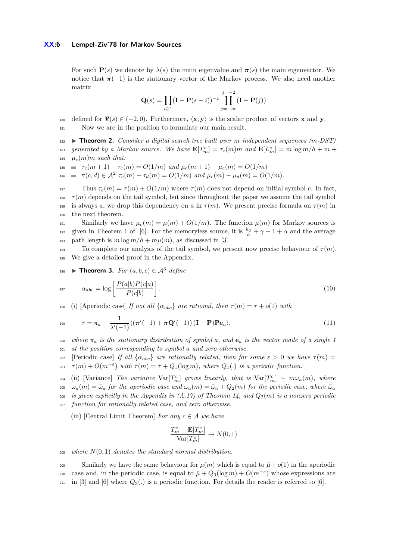For such **P**(*s*) we denote by  $\lambda(s)$  the main eigenvalue and  $\pi(s)$  the main eigenvector. We notice that  $\pi(-1)$  is the stationary vector of the Markov process. We also need another matrix

$$
\mathbf{Q}(s) = \prod_{i \ge 1} (\mathbf{I} - \mathbf{P}(s - i))^{-1} \prod_{j = -\infty}^{j = -2} (\mathbf{I} - \mathbf{P}(j))
$$

180 defined for  $\Re(s) \in (-2, 0)$ . Furthermore,  $\langle \mathbf{x}, \mathbf{y} \rangle$  is the scalar product of vectors **x** and **y**.

<span id="page-5-0"></span>181 Now we are in the position to formulate our main result.

<sup>182</sup> I **Theorem 2.** *Consider a digital search tree built over m independent sequences (m-DST) generated by a Markov source.* We have  $\mathbf{E}[T_m^c] = \tau_c(m)m$  and  $\mathbf{E}[L_m^c] = m \log m/h + m + m$  $\mu_c(m)m$  *such that:* 

185  $= \tau_c(m+1) - \tau_c(m) = O(1/m)$  and  $\mu_c(m+1) - \mu_c(m) = O(1/m)$ 

 $\forall (c, d) \in \mathcal{A}^2$   $\tau_c(m) - \tau_d(m) = O(1/m)$  and  $\mu_c(m) - \mu_d(m) = O(1/m)$ .

<sup>187</sup> Thus *τc*(*m*) = *τ* (*m*) + *O*(1*/m*) where *τ* (*m*) does not depend on initial symbol *c*. In fact, <sup>188</sup>  $\tau(m)$  depends on the tail symbol, but since throughout the paper we assume the tail symbol 189 is always *a*, we drop this dependency on *a* in  $\tau(m)$ . We present precise formula on  $\tau(m)$  in <sup>190</sup> the next theorem.

 $191$  Similarly we have  $\mu_c(m) = \mu(m) + O(1/m)$ . The function  $\mu(m)$  for Markov sources is given in Theorem 1 of [\[6\]](#page-13-6). For the memoryless source, it is  $\frac{h_2}{h} + \gamma - 1 + \alpha$  and the average 193 path length is  $m \log m/h + m\mu(m)$ , as discussed in [\[3\]](#page-13-4).

194 To complete our analysis of the tail symbol, we present now precise behaviour of  $\tau(m)$ . <sup>195</sup> We give a detailed proof in the Appendix.

<span id="page-5-1"></span>**■ ► Theorem 3.** *For*  $(a, b, c) \in \mathcal{A}^3$  *define* 

$$
\alpha_{abc} = \log \left[ \frac{P(a|b)P(c|a)}{P(c|b)} \right].
$$
\n(10)

198 (i) [Aperiodic case] *If not all*  $\{\alpha_{abc}\}\$  *are rational, then*  $\tau(m) = \bar{\tau} + o(1)$  *with* 

$$
\bar{\tau} = \pi_a + \frac{1}{\lambda'(-1)} \langle (\pi'(-1) + \pi \mathbf{Q}'(-1)) (\mathbf{I} - \mathbf{P}) \mathbf{P} \mathbf{e}_a \rangle, \tag{11}
$$

<sup>200</sup> where  $\pi_a$  is the stationary distribution of symbol a, and  $\mathbf{e}_a$  is the vector made of a single 1 <sup>201</sup> *at the position corresponding to symbol a and zero otherwise.*

202 [Periodic case] *If all*  $\{\alpha_{abc}\}\$  *are rationally related, then for some*  $\varepsilon > 0$  *we have*  $\tau(m) =$  $\tau(\mathbf{m}) + O(m^{-\varepsilon})$  with  $\bar{\tau}(m) = \bar{\tau} + Q_1(\log m)$ , where  $Q_1(.)$  is a periodic function.

 $\text{Var}[\text{Var}(X;X)] = \text{Var}[\text{Var}(X;X)] = \text{Var}[\text{Var}(X;X)] = \text{Var}[\text{Var}(X;X)] = \text{Var}[\text{Var}(X;X)] = \text{Var}[\text{Var}(X;X)] = \text{Var}[\text{Var}(X;X)] = \text{Var}[\text{Var}(X;X)] = \text{Var}[\text{Var}(X;X)] = \text{Var}[\text{Var}(X;X)] = \text{Var}[\text{Var}(X;X)] = \text{Var}[\text{Var}(X;X)] = \text{Var}[\text{Var}(X;X)] = \text{Var}[\text{Var}(X;X)] = \text{Var}[\text{Var}($  $\omega_a(m) = \bar{\omega}_a$  *for the aperiodic case and*  $\omega_a(m) = \bar{\omega}_a + Q_2(m)$  *for the periodic case, where*  $\bar{\omega}_a$ 206 *is given explicitly in the Appendix in*  $(A.17)$  *of Theorem [14,](#page-18-1) and*  $Q_2(m)$  *is a nonzero periodic* <sup>207</sup> *function for rationally related case, and zero otherwise.*

(iii) [Central Limit Theorem] *For any*  $c \in A$  *we have* 

$$
\frac{T_m^c-\mathbf{E}[T_m^c]}{\text{Var}[T_m^c]}\to N(0,1)
$$

<sup>208</sup> *where N*(0*,* 1) *denotes the standard normal distribution.*

 $\frac{209}{209}$  Similarly we have the same behaviour for  $\mu(m)$  which is equal to  $\bar{\mu}+o(1)$  in the aperiodic case and, in the periodic case, is equal to  $\bar{\mu} + Q_3(\log m) + O(m^{-\epsilon})$  whose expressions are  $_{211}$  in [\[3\]](#page-13-4) and [\[6\]](#page-13-6) where  $Q_3(.)$  is a periodic function. For details the reader is referred to [6].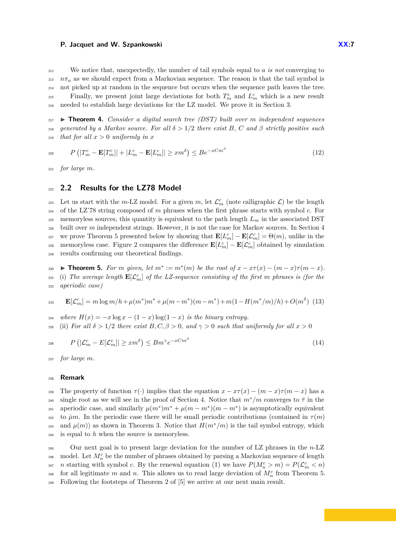<sup>212</sup> We notice that, unexpectedly, the number of tail symbols equal to *a is not* converging to  $n\pi_a$  as we should expect from a Markovian sequence. The reason is that the tail symbol is <sup>214</sup> not picked up at random in the sequence but occurs when the sequence path leaves the tree. Finally, we present joint large deviations for both  $T_m^c$  and  $L_m^c$  which is a new result <sup>216</sup> needed to establish large deviations for the LZ model. We prove it in Section [3.](#page-7-0)

<span id="page-6-1"></span><sup>217</sup> I **Theorem 4.** *Consider a digital search tree (DST) built over m independent sequences* 218 generated by a Markov source. For all  $\delta > 1/2$  there exist B, C and  $\beta$  strictly positive such <sup>219</sup> *that for all*  $x > 0$  *uniformly in*  $x$ 

<span id="page-6-3"></span>
$$
P\left(|T_m^c - \mathbf{E}[T_m^c]| + |L_m^c - \mathbf{E}[L_m^c]| \geq xm^\delta\right) \leq Be^{-xCm^\beta} \tag{12}
$$

<sup>221</sup> *for large m.*

## <sup>222</sup> **2.2 Results for the LZ78 Model**

223 Let us start with the *m*-LZ model. For a given *m*, let  $\mathcal{L}_m^c$  (note calligraphic  $\mathcal{L}$ ) be the length <sup>224</sup> of the LZ'78 string composed of *m* phrases when the first phrase starts with symbol *c*. For 225 memoryless sources, this quantity is equivalent to the path length  $L_m$  in the associated DST <sup>226</sup> built over *m* independent strings. However, it is not the case for Markov sources. In Section [4](#page-8-0) we prove Theorem [5](#page-6-0) presented below by showing that  $\mathbf{E}[L_m^c] - \mathbf{E}[\mathcal{L}_m^c] = \Theta(m)$ , unlike in the memoryless case. Figure 2 compares the difference  $\mathbf{E}[L_m^c] - \mathbf{E}[\mathcal{L}_m^c]$  obtained by simulation <sup>229</sup> results confirming our theoretical findings.

<span id="page-6-0"></span> $\bullet$  **Theorem 5.** For *m* given, let  $m^* := m^*(m)$  be the root of  $x - x\tau(x) - (m - x)\tau(m - x)$ .  $\sum_{231}$  (i) The average length  $\mathbf{E}[\mathcal{L}_m^c]$  of the LZ-sequence consisting of the first *m* phrases is (for the <sup>232</sup> *aperiodic case)*

$$
\mathbf{E}[\mathcal{L}_m^c] = m \log m / h + \mu(m^*) m^* + \mu(m - m^*) (m - m^*) + m(1 - H(m^*/m)/h) + O(m^{\delta}) \tag{13}
$$

<sup>234</sup> *where*  $H(x) = -x \log x - (1-x) \log(1-x)$  *is the binary entropy.* 235 (ii) For all  $\delta > 1/2$  there exist  $B, C, \beta > 0$ , and  $\gamma > 0$  such that uniformly for all  $x > 0$ 

$$
P\left(|\mathcal{L}_m^c - E[\mathcal{L}_m^c]| \geq xm^\delta\right) \leq Bm^\gamma e^{-xCm^\beta} \tag{14}
$$

<sup>237</sup> *for large m.*

#### <sup>238</sup> **Remark**

239 The property of function  $\tau(\cdot)$  implies that the equation  $x - x\tau(x) - (m - x)\tau(m - x)$  has a single root as we will see in the proof of Section [4.](#page-8-0) Notice that  $m^*/m$  converges to  $\bar{\tau}$  in the aperiodic case, and similarly  $\mu(m^*)m^* + \mu(m - m^*)(m - m^*)$  is asymptotically equivalent 242 to  $\bar{\mu}m$ . In the periodic case there will be small periodic contributions (contained in  $\tau(m)$ ) and  $\mu(m)$  as shown in Theorem [3.](#page-5-1) Notice that  $H(m^*/m)$  is the tail symbol entropy, which <sup>244</sup> is equal to *h* when the source is memoryless.

<span id="page-6-2"></span><sup>245</sup> Our next goal is to present large deviation for the number of LZ phrases in the *n*-LZ <sup>246</sup> model. Let  $M_n^c$  be the number of phrases obtained by parsing a Markovian sequence of length *n* starting with symbol *c*. By the renewal equation [\(1\)](#page-2-0) we have  $P(M_n^c > m) = P(\mathcal{L}_m^c < n)$ for all legitimate *m* and *n*. This allows us to read large deviation of  $M_n^c$  from Theorem [5.](#page-6-0) <sup>249</sup> Following the footsteps of Theorem 2 of [\[5\]](#page-13-7) we arrive at our next main result.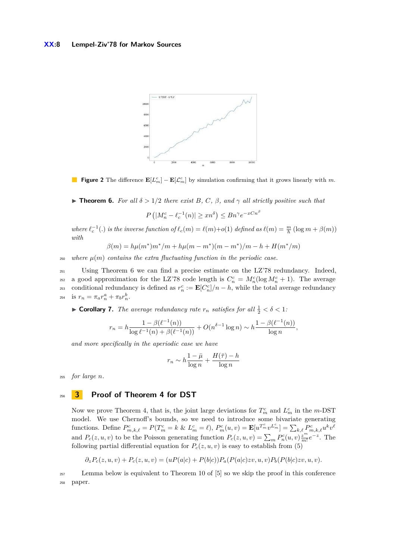

**Figure 2** The difference  $\mathbf{E}[L_m^c] - \mathbf{E}[L_m^c]$  by simulation confirming that it grows linearly with *m*.

**Figure 1. For all**  $\delta > 1/2$  there exist B, C,  $\beta$ , and  $\gamma$  all strictly positive such that

 $P\left(|M_n^c - \ell_c^{-1}(n)| \geq xn^{\delta}\right) \leq Bn^{\gamma}e^{-xCn^{\beta}}$ 

where  $\ell_c^{-1}(.)$  is the inverse function of  $\ell_c(m) = \ell(m)+o(1)$  defined as  $\ell(m) = \frac{m}{h}(\log m + \beta(m))$ *with*

$$
\beta(m) = h\mu(m^*)m^*/m + h\mu(m - m^*)(m - m^*)/m - h + H(m^*/m)
$$

 $250$  where  $\mu(m)$  contains the extra fluctuating function in the periodic case.

<sup>251</sup> Using Theorem [6](#page-6-2) we can find a precise estimate on the LZ'78 redundancy. Indeed, a good approximation for the LZ'78 code length is  $C_n^c = M_n^c(\log M_n^c + 1)$ . The average conditional redundancy is defined as  $r_n^c := \mathbf{E}[C_n^c]/n - h$ , while the total average redundancy  $r_n = \pi_a r_n^a + \pi_b r_n^b$ .

<span id="page-7-1"></span>**Corollary 7.** *The average redundancy rate*  $r_n$  *satisfies for all*  $\frac{1}{2} < \delta < 1$ *:* 

$$
r_n = h \frac{1 - \beta(\ell^{-1}(n))}{\log \ell^{-1}(n) + \beta(\ell^{-1}(n))} + O(n^{\delta - 1} \log n) \sim h \frac{1 - \beta(\ell^{-1}(n))}{\log n},
$$

*and more specifically in the aperiodic case we have*

$$
r_n \sim h \frac{1 - \bar{\mu}}{\log n} + \frac{H(\bar{\tau}) - h}{\log n}
$$

<sup>255</sup> *for large n.*

## <span id="page-7-0"></span><sup>256</sup> **3 Proof of Theorem [4](#page-6-1) for DST**

Now we prove Theorem [4,](#page-6-1) that is, the joint large deviations for  $T_m^c$  and  $L_m^c$  in the *m*-DST model. We use Chernoff's bounds, so we need to introduce some bivariate generating functions. Define  $P_{m,k,\ell}^c = P(T_m^c = k \& L_m^c = \ell), P_m^c(u,v) = \mathbf{E}[u^{T_m^c}v^{L_m^c}] = \sum_{k,\ell} P_{m,k,\ell}^c u^k v^{\ell}$ and  $P_c(z, u, v)$  to be the Poisson generating function  $P_c(z, u, v) = \sum_m P_n^c(u, v) \frac{z^m}{m!} e^{-z}$ . The following partial differential equation for  $P_c(z, u, v)$  is easy to establish from [\(5\)](#page-4-0)

$$
\partial_z P_c(z, u, v) + P_c(z, u, v) = (uP(a|c) + P(b|c))P_a(P(a|c)zv, u, v)P_b(P(b|c)zv, u, v).
$$

<sup>257</sup> Lemma below is equivalent to Theorem 10 of [\[5\]](#page-13-7) so we skip the proof in this conference <sup>258</sup> paper.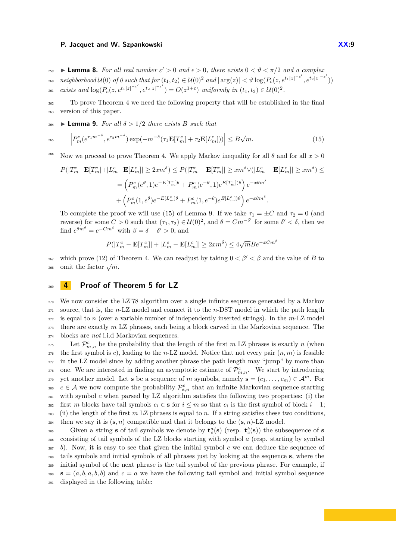**Example 259**  $\triangleright$  **Lemma 8.** For all real number  $\varepsilon' > 0$  and  $\epsilon > 0$ , there exists  $0 < \vartheta < \pi/2$  and a complex  $\begin{split} \mathcal{L}_{\text{260}} \quad \mathit{neighborhood}\ \mathcal{U}(0) \ \textit{of}\ \mathit{0}\ \textit{such that for}\ (t_1, t_2) \in \mathcal{U}(0)^2\ \textit{and}\ |\arg(z)|<\vartheta\ \mathrm{log}(P_c(z, e^{t_1 |z|^{-\varepsilon'}}, e^{t_2 |z|^{-\varepsilon'}})) \end{split}$ *exists and*  $\log(P_c(z, e^{t_1|z|^{-\varepsilon'}}, e^{t_2|z|^{-\varepsilon'}}) = O(z^{1+\varepsilon})$  *uniformly in*  $(t_1, t_2) \in \mathcal{U}(0)^2$ .

<sup>262</sup> To prove Theorem [4](#page-6-1) we need the following property that will be established in the final <sup>263</sup> version of this paper.

**264**  $\blacktriangleright$  **Lemma 9.** *For all*  $\delta > 1/2$  *there exists B such that* 

$$
2^{65} \qquad \left| P_m^c(e^{\tau_1 m^{-\delta}}, e^{\tau_2 m^{-\delta}}) \exp(-m^{-\delta}(\tau_1 \mathbf{E}[T_m^c] + \tau_2 \mathbf{E}[L_m^c])) \right| \leq B\sqrt{m}.\tag{15}
$$

<sup>266</sup> Now we proceed to prove Theorem [4.](#page-6-1) We apply Markov inequality for all  $\theta$  and for all  $x > 0$ 

$$
P(|T_m^c - \mathbf{E}[T_m^c| + |L_m^c - \mathbf{E}[L_m^c]| \ge 2xm^\delta) \le P(|T_m^c - \mathbf{E}[T_m^c]| \ge xm^\delta \vee (|L_m^c - \mathbf{E}[L_m^c]| \ge xm^\delta) \le
$$
  

$$
= \left(P_m^c(e^\theta, 1)e^{-E[T_m^c]\theta} + P_m^c(e^{-\theta}, 1)e^{E[T_m^c]\theta}\right)e^{-x\theta m^\delta}
$$
  

$$
+ \left(P_m^c(1, e^\theta)e^{-E[L_m^c]\theta} + P_m^c(1, e^{-\theta})e^{E[L_m^c]\theta}\right)e^{-x\theta m^\delta}.
$$

To complete the proof we will use [\(15\)](#page-8-1) of Lemma [9.](#page-8-1) If we take  $\tau_1 = \pm C$  and  $\tau_2 = 0$  (and reverse) for some  $C > 0$  such that  $(τ_1, τ_2) \in U(0)^2$ , and  $θ = Cm<sup>-δ'</sup>$  for some  $δ' < δ$ , then we find  $e^{\theta m^{\delta}} = e^{-Cm^{\beta}}$  with  $\beta = \delta - \delta' > 0$ , and

<span id="page-8-1"></span>
$$
P(|T_m^c - \mathbf{E}[T_m^c]| + |L_m^c - \mathbf{E}[L_m^c]| \geq 2xm^{\delta}) \leq 4\sqrt{m}Be^{-xCm^{\beta}}
$$

 $267$  which prove [\(12\)](#page-6-3) of Theorem [4.](#page-6-1) We can readjust by taking  $0 < \beta' < \beta$  and the value of *B* to <sup>267</sup> which prove (12) or 268

# <span id="page-8-0"></span><sup>269</sup> **4 Proof of Theorem [5](#page-6-0) for LZ**

 We now consider the LZ'78 algorithm over a single infinite sequence generated by a Markov source, that is, the *n*-LZ model and connect it to the *n*-DST model in which the path length is equal to *n* (over a variable number of independently inserted strings). In the *m*-LZ model there are exactly *m* LZ phrases, each being a block carved in the Markovian sequence. The blocks are *not* i.i.d Markovian sequences.

275 Let  $\mathcal{P}_{m,n}^c$  be the probability that the length of the first *m* LZ phrases is exactly *n* (when  $_{276}$  the first symbol is *c*), leading to the *n*-LZ model. Notice that not every pair  $(n, m)$  is feasible <sup>277</sup> in the LZ model since by adding another phrase the path length may "jump" by more than <sup>278</sup> one. We are interested in finding an asymptotic estimate of  $\mathcal{P}^c_{m,n}$ . We start by introducing yet another model. Let **s** be a sequence of *m* symbols, namely  $\mathbf{s} = (c_1, \ldots, c_m) \in \mathcal{A}^m$ . For <sup>280</sup>  $c \in \mathcal{A}$  we now compute the probability  $\mathcal{P}^c_{s,n}$  that an infinite Markovian sequence starting <sup>281</sup> with symbol *c* when parsed by LZ algorithm satisfies the following two properties: (i) the first *m* blocks have tail symbols  $c_i \in \mathbf{s}$  for  $i \leq m$  so that  $c_i$  is the first symbol of block  $i + 1$ ; <sup>283</sup> (ii) the length of the first *m* LZ phrases is equal to *n*. If a string satisfies these two conditions, <sup>284</sup> then we say it is  $(\mathbf{s}, n)$  compatible and that it belongs to the  $(\mathbf{s}, n)$ -LZ model.

Given a string **s** of tail symbols we denote by  $\mathbf{t}_c^a(\mathbf{s})$  (resp.  $\mathbf{t}_c^b(\mathbf{s})$ ) the subsequence of **s**  consisting of tail symbols of the LZ blocks starting with symbol *a* (resp. starting by symbol *b*). Now, it is easy to see that given the initial symbol *c* we can deduce the sequence of tails symbols and initial symbols of all phrases just by looking at the sequence **s**, where the initial symbol of the next phrase is the tail symbol of the previous phrase. For example, if  $s = (a, b, a, b, b)$  and  $c = a$  we have the following tail symbol and initial symbol sequence displayed in the following table: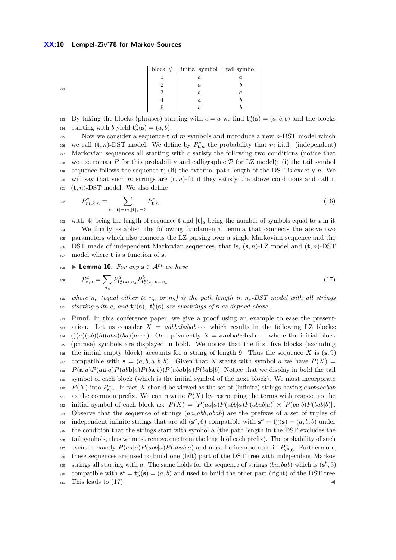| block $#$ | initial symbol   | tail symbol |
|-----------|------------------|-------------|
|           | $\boldsymbol{a}$ | a           |
|           | $\alpha$         |             |
|           |                  | $\it a$     |
|           | $\alpha$         |             |
|           |                  |             |

292

By taking the blocks (phrases) starting with  $c = a$  we find  $\mathbf{t}_a^a(\mathbf{s}) = (a, b, b)$  and the blocks starting with *b* yield  $\mathbf{t}_a^b(\mathbf{s}) = (a, b)$ .

<sup>295</sup> Now we consider a sequence **t** of *m* symbols and introduce a new *n*-DST model which we call  $(\mathbf{t}, n)$ -DST model. We define by  $P_{\mathbf{t},n}^c$  the probability that *m* i.i.d. (independent) <sup>297</sup> Markovian sequences all starting with *c* satisfy the following two conditions (notice that <sup>298</sup> we use roman P for this probability and calligraphic  $P$  for LZ model): (i) the tail symbol 299 sequence follows the sequence  $t$ ; (ii) the external path length of the DST is exactly  $n$ . We <sup>300</sup> will say that such *m* strings are (**t***, n*)-fit if they satisfy the above conditions and call it <sup>301</sup> (**t***, n*)-DST model. We also define

<span id="page-9-1"></span>
$$
P_{m,k,n}^c = \sum_{\mathbf{t}: \ |\mathbf{t}| = m, |\mathbf{t}|_a = k} P_{\mathbf{t},n}^c \tag{16}
$$

303 with  $|\mathbf{t}|$  being the length of sequence **t** and  $|\mathbf{t}|_a$  being the number of symbols equal to *a* in it. We finally establish the following fundamental lemma that connects the above two parameters which also connects the LZ parsing over a single Markovian sequence and the DST made of independent Markovian sequences, that is, (**s***, n*)-LZ model and (**t***, n*)-DST model where **t** is a function of **s**.

<span id="page-9-0"></span> $\bullet$  **Lemma 10.** *For any* **s** ∈  $\mathcal{A}^m$  *we have* 

$$
\mathcal{P}_{\mathbf{s},n}^c = \sum_{n_a} P_{\mathbf{t}_c^a(\mathbf{s}),n_a}^a P_{\mathbf{t}_c^b(\mathbf{s}),n-n_a}^b \tag{17}
$$

<sup>310</sup> *where n<sup>c</sup> (equal either to n<sup>a</sup> or nb) is the path length in nc-DST model with all strings ssi starting with c, and*  $\mathbf{t}_c^a(\mathbf{s})$ ,  $\mathbf{t}_c^b(\mathbf{s})$  are substrings of **s** as defined above.

<sup>312</sup> **Proof.** In this conference paper, we give a proof using an example to ease the present- $\alpha_{313}$  ation. Let us consider  $X = aabbabab \cdots$  which results in the following LZ blocks:  $314$   $((a)(ab)(b)(aba)(ba)(b...))$ . Or equivalently  $X = \text{aabbabab} \cdots$  where the initial block <sup>315</sup> (phrase) symbols are displayed in bold. We notice that the first five blocks (excluding  $\frac{1}{316}$  the initial empty block) accounts for a string of length 9. Thus the sequence *X* is (**s**, 9) 317 compatible with  $\mathbf{s} = (a, b, a, b, b)$ . Given that X starts with symbol a we have  $P(X) =$ 318  $P(\mathbf{a}|a)P(a\mathbf{a}|a)P(ab\mathbf{b}|a)P(b\mathbf{a}|b)P(ab\mathbf{a}b|a)P(b\mathbf{a}b|b)$ . Notice that we display in bold the tail <sup>319</sup> symbol of each block (which is the initial symbol of the next block). We must incorporate *P*(*X*) into *P a* **s***,*9 <sup>320</sup> . In fact *X* should be viewed as the set of (infinite) strings having *aabbababab*  $321$  as the common prefix. We can rewrite  $P(X)$  by regrouping the terms with respect to the  $\sup$   $\{322 \text{ initial symbol of each block as: } P(X) = [P(aa|a)P(abb|a)P(abab|a)] \times [P(bab|b)P(bab|b)]\}$ . <sup>323</sup> Observe that the sequence of strings (*aa, abb, abab*) are the prefixes of a set of tuples of independent infinite strings that are all  $(\mathbf{s}^a, 6)$  compatible with  $\mathbf{s}^a = \mathbf{t}_a^a(\mathbf{s}) = (a, b, b)$  under <sup>325</sup> the condition that the strings start with symbol *a* (the path length in the DST excludes the <sup>326</sup> tail symbols, thus we must remove one from the length of each prefix). The probability of such event is exactly  $P(aa|a)P(abb|a)P(abab|a)$  and must be incorporated in  $P_{\mathbf{s}^a, \mathbf{\hat{a}}}^a$ . Furthermore, <sup>328</sup> these sequences are used to build one (left) part of the DST tree with independent Markov strings all starting with *a*. The same holds for the sequence of strings  $(ba, bab)$  which is  $(\mathbf{s}^b, 3)$ compatible with  $\mathbf{s}^b = \mathbf{t}_a^b(\mathbf{s}) = (a, b)$  and used to build the other part (right) of the DST tree.  $_{331}$  This leads to  $(17)$ .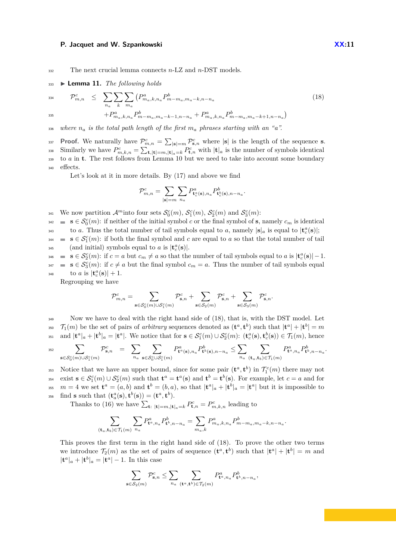<span id="page-10-0"></span><sup>332</sup> The next crucial lemma connects *n*-LZ and *n*-DST models.

#### <sup>333</sup> I **Lemma 11.** *The following holds*

<span id="page-10-1"></span>
$$
\mathcal{P}_{m,n}^{c} \leq \sum_{n_a} \sum_{k} \sum_{m_a} \left( P_{m_a,k,n_a}^{a} P_{m-m_a,m_a-k,n-n_a}^{b} \right) \tag{18}
$$
\n
$$
+ P_{m_a,k,n_a}^{a} P_{m-m_a,m_a-k-1,n-n_a}^{b} + P_{m_a,k,n_a}^{a} P_{m-m_a,m_a-k+1,n-n_a}^{b} \right)
$$

 $\alpha$ <sup>336</sup> where  $n_a$  *is the total path length of the first*  $m_a$  *phrases starting with an* "*a*".

**Proof.** We naturally have  $\mathcal{P}_{m,n}^c = \sum_{|\mathbf{s}|=m} \mathcal{P}_{\mathbf{s},n}^c$  where  $|\mathbf{s}|$  is the length of the sequence **s**. Similarly we have  $P_{m,k,n}^c = \sum_{\mathbf{t},|\mathbf{t}|=m,|\mathbf{t}|_a=k} P_{\mathbf{t},n}^c$  with  $|\mathbf{t}|_a$  is the number of symbols identical <sup>339</sup> to *a* in **t**. The rest follows from Lemma [10](#page-9-0) but we need to take into account some boundary <sup>340</sup> effects.

Let's look at it in more details. By [\(17\)](#page-9-0) and above we find

$$
\mathcal{P}_{m,n}^c = \sum_{|\mathbf{s}|=m} \sum_{n_a} P^a_{\mathbf{t}_c^a(\mathbf{s}),n_a} P^b_{\mathbf{t}_c^b(\mathbf{s}),n-n_a}.
$$

We now partition  $\mathcal{A}^m$  into four sets  $\mathcal{S}_0^c(m)$ ,  $\mathcal{S}_1^c(m)$ ,  $\mathcal{S}_2^c(m)$  and  $\mathcal{S}_3^c(m)$ :

**s**  $s \in S_0^c(m)$ : if neither of the initial symbol *c* or the final symbol of **s**, namely  $c_m$  is identical

to *a*. Thus the total number of tail symbols equal to *a*, namely  $|\mathbf{s}|_a$  is equal to  $|\mathbf{t}_c^a(\mathbf{s})|$ ; **s**  $s \in S_1^c(m)$ : if both the final symbol and *c* are equal to *a* so that the total number of tail  $_{345}$  (and initial) symbols equal to *a* is  $|\mathbf{t}_c^a(\mathbf{s})|$ .

**s**  $s \in S_2^c(m)$ : if  $c = a$  but  $c_m \neq a$  so that the number of tail symbols equal to  $a$  is  $|\mathbf{t}_c^a(\mathbf{s})| - 1$ . **s**  $s \in S_3^c(m)$ : if  $c \neq a$  but the final symbol  $c_m = a$ . Thus the number of tail symbols equal 348 to *a* is  $|\mathbf{t}_c^a(\mathbf{s})| + 1$ .

Regrouping we have

$$
\mathcal{P}_{m,n}^c = \sum_{\mathbf{s} \in \mathcal{S}_0^c(m) \cup \mathcal{S}_1^c(m)} \mathcal{P}_{\mathbf{s},n}^c + \sum_{\mathbf{s} \in \mathcal{S}_2(m)} \mathcal{P}_{\mathbf{s},n}^c + \sum_{\mathbf{s} \in \mathcal{S}_3(m)} \mathcal{P}_{\mathbf{s},n}^c.
$$

Now we have to deal with the right hand side of [\(18\)](#page-10-1), that is, with the DST model. Let  $\tau_1(m)$  be the set of pairs of *arbitrary* sequences denoted as  $(\mathbf{t}^a, \mathbf{t}^b)$  such that  $|\mathbf{t}^a| + |\mathbf{t}^b| = m$ <sup>351</sup> and  $|\mathbf{t}^a|_a + |\mathbf{t}^b|_a = |\mathbf{t}^a|$ . We notice that for  $\mathbf{s} \in \mathcal{S}_1^c(m) \cup \mathcal{S}_2^c(m)$ :  $(\mathbf{t}_c^a(\mathbf{s}), \mathbf{t}_c^b(\mathbf{s})) \in \mathcal{T}_1(m)$ , hence

$$
\sum_{\mathbf{s}\in\mathcal{S}_0^c(m)\cup\mathcal{S}_1^c(m)}\mathcal{P}_{\mathbf{s},n}^c\quad=\quad\sum_{n_a}\sum_{\mathbf{s}\in\mathcal{S}_0^c\cup\mathcal{S}_1^c(m)}P_{\mathbf{t}^a(\mathbf{s}),n_a}^aP_{\mathbf{t}^b(\mathbf{s}),n-n_a}^b\leq\sum_{n_a}\sum_{(\mathbf{t}_a,\mathbf{t}_b)\in\mathcal{T}_1(m)}P_{\mathbf{t}^a,n_a}^aP_{\mathbf{t}^b,n-n_a}^b.
$$

353 Notice that we have an upper bound, since for some pair  $(\mathbf{t}^a, \mathbf{t}^b)$  in  $\mathcal{T}_1^c(m)$  there may not <sup>354</sup> exist  $\mathbf{s} \in \mathcal{S}_1^c(m) \cup \mathcal{S}_2^c(m)$  such that  $\mathbf{t}^a = \mathbf{t}^a(\mathbf{s})$  and  $\mathbf{t}^b = \mathbf{t}^b(\mathbf{s})$ . For example, let  $c = a$  and for <sup>355</sup>  $m = 4$  we set  $\mathbf{t}^a = (a, b)$  and  $\mathbf{t}^b = (b, a)$ , so that  $|\mathbf{t}^a|_a + |\mathbf{t}^b|_a = |\mathbf{t}^a|$  but it is impossible to  $\text{find } \mathbf{s} \text{ such that } (\mathbf{t}_a^a(\mathbf{s}), \mathbf{t}^b(\mathbf{s})) = (\mathbf{t}^a, \mathbf{t}^b).$ 

Thanks to [\(16\)](#page-9-1) we have  $\sum_{\mathbf{t}: |\mathbf{t}| = m, |\mathbf{t}|_a = k} P_{\mathbf{t},n}^c = P_{m,k,n}^c$  leading to

$$
\sum_{({\bf t}_a,{\bf t}_b)\in \mathcal{T}_1(m)}\sum_{n_a}P_{{\bf t}^a,n_a}^a P_{{\bf t}^b,n-n_a}^b=\sum_{m_a,k}P_{m_a,k,n_a}^a P_{m-m_a,m_a-k,n-n_a}^b.
$$

This proves the first term in the right hand side of [\(18\)](#page-10-1). To prove the other two terms we introduce  $\mathcal{T}_2(m)$  as the set of pairs of sequence  $(\mathbf{t}^a, \mathbf{t}^b)$  such that  $|\mathbf{t}^a| + |\mathbf{t}^b| = m$  and  $|\mathbf{t}^a|_a + |\mathbf{t}^b|_a = |\mathbf{t}^a| - 1$ . In this case

$$
\sum_{\mathbf s\in \mathcal S_2(m)} \mathcal P^c_{\mathbf s,n} \leq \sum_{n_a} \sum_{(\mathbf t^a, \mathbf t^b)\in \mathcal T_2(m)} P^a_{\mathbf t^a,n_a} P^b_{\mathbf t^b,n-n_a},
$$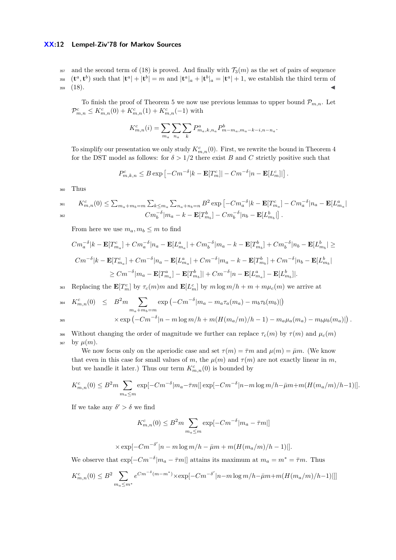## **XX:12 Lempel-Ziv'78 for Markov Sources**

 $357$  and the second term of [\(18\)](#page-10-1) is proved. And finally with  $\mathcal{T}_3(m)$  as the set of pairs of sequence <sup>358</sup>  $(\mathbf{t}^a, \mathbf{t}^b)$  such that  $|\mathbf{t}^a| + |\mathbf{t}^b| = m$  and  $|\mathbf{t}^a|_a + |\mathbf{t}^b|_a = |\mathbf{t}^a| + 1$ , we establish the third term of  $359 \quad (18).$  $359 \quad (18).$  $359 \quad (18).$ 

To finish the proof of Theorem [5](#page-6-0) we now use previous lemmas to upper bound  $\mathcal{P}_{m,n}$ . Let  $\mathcal{P}_{m,n}^c \leq K_{m,n}^c(0) + K_{m,n}^c(1) + K_{m,n}^c(-1)$  with

$$
K_{m,n}^{c}(i) = \sum_{m_a} \sum_{n_a} \sum_{k} P_{m_a,k,n_a}^{a} P_{m-m_a,m_a-k-i,n-n_a}^{b}.
$$

To simplify our presentation we only study  $K_{m,n}^c(0)$ . First, we rewrite the bound in Theorem [4](#page-6-1) for the DST model as follows: for  $\delta > 1/2$  there exist *B* and *C* strictly positive such that

$$
P_{m,k,n}^c \leq B \exp \left[ -Cm^{-\delta} |k - \mathbf{E}[T_m^c]| - Cm^{-\delta} |n - \mathbf{E}[L_m^c]| \right].
$$

<sup>360</sup> Thus

$$
\begin{aligned} \mathbf{M}_{m,n}^c(0) &\leq \textstyle \sum_{m_a + m_b = m} \sum_{k \leq m_a} \sum_{n_a + n_b = n} B^2 \exp\left[-C m_a^{-\delta} |k - \mathbf{E}[T_{m_a}^c] - C m_a^{-\delta} |n_a - \mathbf{E}[L_{m_a}^a| \right] \\ &\qquad \qquad C m_b^{-\delta} |m_a - k - \mathbf{E}[T_{m_b}^b] - C m_b^{-\delta} |n_b - \mathbf{E}[L_{m_b}^b] \end{aligned} \label{eq:Kn}
$$

From here we use  $m_a, m_b \leq m$  to find

$$
Cm_a^{-\delta}|k - \mathbf{E}[T_{m_a}^c] + Cm_a^{-\delta}|n_a - \mathbf{E}[L_{m_a}^a| + Cm_b^{-\delta}|m_a - k - \mathbf{E}[T_{m_b}^b] + Cm_b^{-\delta}|n_b - \mathbf{E}[L_{m_b}^b| \geq
$$
  
\n
$$
Cm^{-\delta}|k - \mathbf{E}[T_{m_a}^c] + Cm^{-\delta}|n_a - \mathbf{E}[L_{m_a}^a| + Cm^{-\delta}|m_a - k - \mathbf{E}[T_{m_b}^b] + Cm^{-\delta}|n_b - \mathbf{E}[L_{m_b}^b|
$$
  
\n
$$
\geq Cm^{-\delta}|m_a - \mathbf{E}[T_{m_a}^a] - \mathbf{E}[T_{m_b}^b]| + Cm^{-\delta}|n - \mathbf{E}[L_{m_a}^a] - \mathbf{E}[L_{m_b}^b]|.
$$

**E**  $[T_m^c]$  by  $τ_c(m)m$  and  $\mathbf{E}[L_m^c]$  by  $m \log m/h + m + m\mu_c(m)$  we arrive at

$$
K_{m,n}^{c}(0) \leq B^{2} m \sum_{m_{a}+m_{b}=m} \exp \left(-Cm^{-\delta}|m_{a}-m_{a}\tau_{a}(m_{a})-m_{b}\tau_{b}(m_{b})|\right)
$$
  

$$
\times \exp \left(-Cm^{-\delta}|n-m\log m/h+m(H(m_{a}/m)/h-1)-m_{a}\mu_{a}(m_{a})-m_{b}\mu_{b}(m_{a})|\right).
$$

366 Without changing the order of magnitude we further can replace  $\tau_c(m)$  by  $\tau(m)$  and  $\mu_c(m)$  $_{367}$  by  $\mu(m)$ .

We now focus only on the aperiodic case and set  $\tau(m) = \overline{\tau}m$  and  $\mu(m) = \overline{\mu}m$ . (We know that even in this case for small values of *m*, the  $\mu(m)$  and  $\tau(m)$  are not exactly linear in *m*, but we handle it later.) Thus our term  $K_{m,n}^c(0)$  is bounded by

$$
K_{m,n}^{c}(0) \leq B^{2} m \sum_{m_{a} \leq m} \exp[-Cm^{-\delta}|m_{a}-\bar{\tau}m|] \exp[-Cm^{-\delta}|n-m\log m/h - \bar{\mu}m + m(H(m_{a}/m)/h - 1)]].
$$

If we take any  $\delta' > \delta$  we find

$$
K_{m,n}^{c}(0) \leq B^{2}m \sum_{m_{a} \leq m} \exp[-Cm^{-\delta}|m_{a}-\overline{\tau}m|]
$$

$$
\times \exp[-Cm^{-\delta'}|n-m\log m/h - \bar{\mu}m + m(H(m_a/m)/h - 1)]].
$$

We observe that  $\exp[-Cm^{-\delta}|m_a - \bar{\tau}m|]$  attains its maximum at  $m_a = m^* = \bar{\tau}m$ . Thus

$$
K_{m,n}^{c}(0) \leq B^{2} \sum_{m_{a} \leq m^{*}} e^{Cm^{-\delta}(m-m^{*})} \times \exp[-Cm^{-\delta'}|n-m \log m/h - \bar{\mu}m + m(H(m_{a}/m)/h-1)]]]
$$

$$
\overline{a}
$$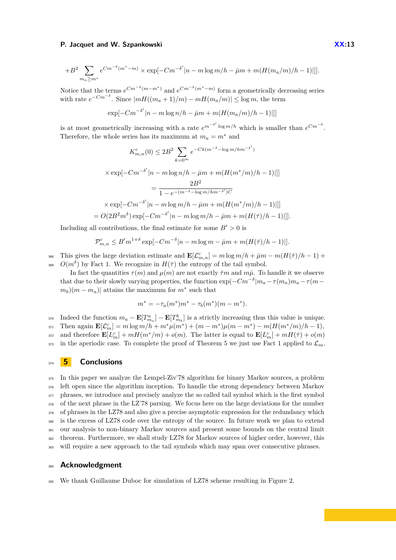$$
+B^2\sum_{m_a\ge m^*}e^{Cm^{-\delta}(m^*-m)}\times \exp[-Cm^{-\delta'}|n-m\log m/h-\bar{\mu}m+m(H(m_a/m)/h-1)|]].
$$

Notice that the terms  $e^{Cm^{-\delta}(m-m^*)}$  and  $e^{Cm^{-\delta}(m^*-m)}$  form a geometrically decreasing series with rate  $e^{-Cm^{-\delta}}$ . Since  $|mH((m_a+1)/m) - mH(m_a/m)| \leq \log m$ , the term

$$
\exp[-Cm^{-\delta'}|n - m\log n/h - \bar{\mu}m + m(H(m_a/m)/h - 1)]]]
$$

is at most geometrically increasing with a rate  $e^{m^{-\delta'} \log m/h}$  which is smaller than  $e^{Cm^{-\delta}}$ . Therefore, the whole series has its maximum at  $m_a = m^*$  and

$$
K_{m,n}^{c}(0) \le 2B^2 \sum_{k=0}^{\infty} e^{-Ck(m^{-\delta} - \log m/hm^{-\delta'})}
$$
  
\n
$$
\times \exp[-Cm^{-\delta'}|n - m \log n/h - \bar{\mu}m + m(H(m^*/m)/h - 1)]]]
$$
  
\n
$$
= \frac{2B^2}{1 - e^{-(m^{-\delta} - \log m/hm^{-\delta'})C}}
$$
  
\n
$$
\times \exp[-Cm^{-\delta'}|n - m \log m/h - \bar{\mu}m + m(H(m^*/m)/h - 1)]]]
$$
  
\n
$$
= O(2B^2m^{\delta}) \exp[-Cm^{-\delta'}|n - m \log m/h - \bar{\mu}m + m(H(\bar{\tau})/h - 1)]]].
$$

Including all contributions, the final estimate for some  $B' > 0$  is

$$
\mathcal{P}_{m,n}^c \le B'm^{1+\delta} \exp[-Cm^{-\delta}|n-m\log m - \bar{\mu}m + m(H(\bar{\tau})/h - 1)]].
$$

368 This gives the large deviation estimate and  $\mathbf{E}[\mathcal{L}_{m,n}^c] = m \log m/h + \bar{\mu}m - m(H(\bar{\tau})/h - 1) +$ <sup>369</sup>  $O(m^{\delta})$  by Fact [1.](#page-3-0) We recognize in  $H(\bar{\tau})$  the entropy of the tail symbol.

In fact the quantities  $\tau(m)$  and  $\mu(m)$  are not exactly  $\bar{\tau}m$  and  $m\bar{\mu}$ . To handle it we observe that due to their slowly varying properties, the function  $\exp(-Cm^{-\delta})m_a - \tau(m_a)m_a - \tau(m-a)$  $(m_b)(m - m_a)$  attains the maximum for  $m^*$  such that

$$
m^* = -\tau_a(m^*)m^* - \tau_b(m^*)(m - m^*).
$$

 $\text{Indeed the function } m_a - \mathbf{E}[T^a_{m_a}] - \mathbf{E}[T^b_{m_b}]$  is a strictly increasing thus this value is unique.  $\text{Fil} \text{Ff}(L_m^c) = m \log m/h + m^* \mu(m^*) + (m - m^*) \mu(m - m^*) - m(H(m^*/m)/h - 1),$ and therefore  $\mathbf{E}[L_m^c] + mH(m^*/m) + o(m)$ . The latter is equal to  $\mathbf{E}[L_m^c] + mH(\bar{\tau}) + o(m)$  $373$  in the aperiodic case. To complete the proof of Theorem [5](#page-6-0) we just use Fact [1](#page-3-0) applied to  $\mathcal{L}_m$ .

## <sup>374</sup> **5 Conclusions**

 In this paper we analyze the Lempel-Ziv'78 algorithm for binary Markov sources, a problem left open since the algorithm inception. To handle the strong dependency between Markov phrases, we introduce and precisely analyze the so called tail symbol which is the first symbol of the next phrase in the LZ'78 parsing. We focus here on the large deviations for the number 379 of phrases in the LZ78 and also give a precise asymptotic expression for the redundancy which is the excess of LZ78 code over the entropy of the source. In future work we plan to extend our analysis to non-binary Markov sources and present some bounds on the central limit theorem. Furthermore, we shall study LZ78 for Markov sources of higher order, however, this will require a new approach to the tail symbols which may span over consecutive phrases.

## <sup>384</sup> **Acknowledgment**

<sup>385</sup> We thank Guillaume Duboc for simulation of LZ78 scheme resulting in Figure 2.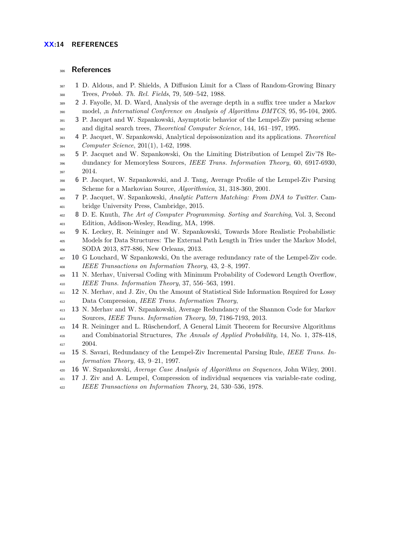# **References**

- <span id="page-13-9"></span> **1** D. Aldous, and P. Shields, A Diffusion Limit for a Class of Random-Growing Binary Trees, *Probab. Th. Rel. Fields*, 79, 509–542, 1988.
- <span id="page-13-10"></span> **2** J. Fayolle, M. D. Ward, Analysis of the average depth in a suffix tree under a Markov model, ,n *International Conference on Analysis of Algorithms DMTCS*, 95, 95-104, 2005.
- <span id="page-13-4"></span> **3** P. Jacquet and W. Szpankowski, Asymptotic behavior of the Lempel-Ziv parsing scheme and digital search trees, *Theoretical Computer Science*, 144, 161–197, 1995.
- <span id="page-13-15"></span> **4** P. Jacquet, W. Szpankowski, Analytical depoissonization and its applications. *Theoretical Computer Science*, 201(1), 1-62, 1998.
- <span id="page-13-7"></span> **5** P. Jacquet and W. Szpankowski, On the Limiting Distribution of Lempel Ziv'78 Re- dundancy for Memoryless Sources, *IEEE Trans. Information Theory*, 60, 6917-6930, 2014.
- <span id="page-13-6"></span> **6** P. Jacquet, W. Szpankowski, and J. Tang, Average Profile of the Lempel-Ziv Parsing Scheme for a Markovian Source, *Algorithmica*, 31, 318-360, 2001.
- <span id="page-13-3"></span> **7** P. Jacquet, W. Szpankowski, *Analytic Pattern Matching: From DNA to Twitter*. Cam-bridge University Press, Cambridge, 2015.
- <span id="page-13-5"></span> **8** D. E. Knuth, *The Art of Computer Programming. Sorting and Searching*, Vol. 3, Second Edition, Addison-Wesley, Reading, MA, 1998.
- <span id="page-13-14"></span> **9** K. Leckey, R. Neininger and W. Szpankowski, Towards More Realistic Probabilistic Models for Data Structures: The External Path Length in Tries under the Markov Model, SODA 2013, 877-886, New Orleans, 2013.
- <span id="page-13-1"></span> **10** G Louchard, W Szpankowski, On the average redundancy rate of the Lempel-Ziv code. *IEEE Transactions on Information Theory*, 43, 2–8, 1997.
- <span id="page-13-11"></span> **11** N. Merhav, Universal Coding with Minimum Probability of Codeword Length Overflow, *IEEE Trans. Information Theory*, 37, 556–563, 1991.
- <span id="page-13-12"></span> **12** N. Merhav, and J. Ziv, On the Amount of Statistical Side Information Required for Lossy Data Compression, *IEEE Trans. Information Theory*,
- **13** N. Merhav and W. Szpankowski, Average Redundancy of the Shannon Code for Markov Sources, *IEEE Trans. Information Theory*, 59, 7186-7193, 2013.
- <span id="page-13-8"></span> **14** R. Neininger and L. Rüschendorf, A General Limit Theorem for Recursive Algorithms and Combinatorial Structures, *The Annals of Applied Probability*, 14, No. 1, 378-418, 2004.
- <span id="page-13-2"></span> **15** S. Savari, Redundancy of the Lempel-Ziv Incremental Parsing Rule, *IEEE Trans. In-formation Theory*, 43, 9–21, 1997.
- <span id="page-13-13"></span>**16** W. Szpankowski, *Average Case Analysis of Algorithms on Sequences*, John Wiley, 2001.
- <span id="page-13-0"></span>**17** J. Ziv and A. Lempel, Compression of individual sequences via variable-rate coding,
- *IEEE Transactions on Information Theory*, 24, 530–536, 1978.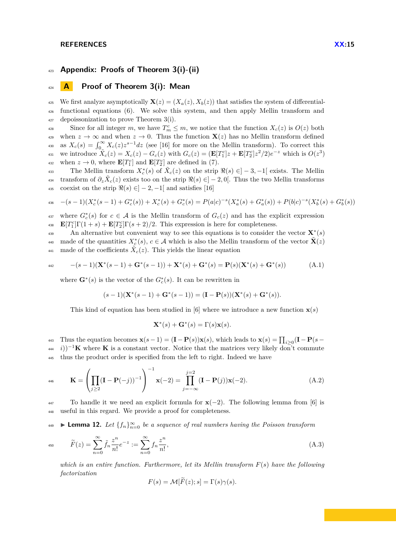#### **REFERENCES XX:15**

# <sup>423</sup> **Appendix: Proofs of Theorem [3\(](#page-5-1)i)-(ii)**

# <sup>424</sup> **A Proof of Theorem [3\(](#page-5-1)i): Mean**

425 We first analyze asymptotically  $\mathbf{X}(z) = (X_a(z), X_b(z))$  that satisfies the system of differential-<sup>426</sup> functional equations [\(6\)](#page-4-2). We solve this system, and then apply Mellin transform and 427 depoissonization to prove Theorem [3\(](#page-5-1)i).

Since for all integer *m*, we have  $T_m^c \leq m$ , we notice that the function  $X_c(z)$  is  $O(z)$  both 429 when  $z \to \infty$  and when  $z \to 0$ . Thus the function  $\mathbf{X}(z)$  has no Mellin transform defined as  $X_c(s) = \int_0^\infty X_c(z) z^{s-1} dz$  (see [\[16\]](#page-13-13) for more on the Mellin transform). To correct this 431 we introduce  $X_c(z) = X_c(z) - G_c(z)$  with  $G_c(z) = (\mathbf{E}[T_1^c]z + \mathbf{E}[T_2^c]z^2/2)e^{-z}$  which is  $O(z^3)$ when  $z \to 0$ , where  $\mathbf{E}[T_1^c]$  and  $\mathbf{E}[T_2^c]$  are defined in [\(7\)](#page-4-1).

The Mellin transform  $X_c^*(s)$  of  $\tilde{X}_c(z)$  on the strip  $\Re(s) \in ]-3,-1[$  exists. The Mellin transform of  $\partial_z \tilde{X}_c(z)$  exists too on the strip  $\Re(s) \in ]-2,0[$ . Thus the two Mellin transforms 435 coexist on the strip  $\Re(s) \in ]-2,-1[$  and satisfies [\[16\]](#page-13-13)

$$
- (s-1)(X_c^*(s-1) + G_c^*(s)) + X_c^*(s) + G_c^*(s) = P(a|c)^{-s}(X_a^*(s) + G_a^*(s)) + P(b|c)^{-s}(X_b^*(s) + G_b^*(s))
$$

<sup>437</sup> where  $G_c^*(s)$  for  $c \in A$  is the Mellin transform of  $G_c(z)$  and has the explicit expression  $\mathbf{E}[T_1^c]\Gamma(1+s) + \mathbf{E}[T_2^c]\Gamma(s+2)/2$ . This expression is here for completeness.

An alternative but convenient way to see this equations is to consider the vector **X**<sup>∗</sup>(s)  $x_0$  made of the quantities  $X_c^*(s)$ ,  $c \in \mathcal{A}$  which is also the Mellin transform of the vector  $\tilde{\mathbf{X}}(z)$ <sup>441</sup> made of the coefficients  $\tilde{X}_c(z)$ . This yields the linear equation

$$
-(s-1)(\mathbf{X}^*(s-1)+\mathbf{G}^*(s-1))+\mathbf{X}^*(s)+\mathbf{G}^*(s)=\mathbf{P}(s)(\mathbf{X}^*(s)+\mathbf{G}^*(s))
$$
(A.1)

where  $\mathbf{G}^*(s)$  is the vector of the  $G_c^*(s)$ . It can be rewritten in

$$
(s-1)(\mathbf{X}^*(s-1)+\mathbf{G}^*(s-1))=(\mathbf{I}-\mathbf{P}(s))(\mathbf{X}^*(s)+\mathbf{G}^*(s)).
$$

This kind of equation has been studied in [\[6\]](#page-13-6) where we introduce a new function  $\mathbf{x}(s)$ 

$$
\mathbf{X}^*(s) + \mathbf{G}^*(s) = \Gamma(s)\mathbf{x}(s).
$$

443 Thus the equation becomes  $\mathbf{x}(s-1) = (\mathbf{I} - \mathbf{P}(s))\mathbf{x}(s)$ , which leads to  $\mathbf{x}(s) = \prod_{i \geq 0} (\mathbf{I} - \mathbf{P}(s-1))$  $(i+44-i)^{-1}$ **K** where **K** is a constant vector. Notice that the matrices very likely don't commute <sup>445</sup> thus the product order is specified from the left to right. Indeed we have

446 
$$
\mathbf{K} = \left(\prod_{j\geq 2} (\mathbf{I} - \mathbf{P}(-j))^{-1}\right)^{-1} \mathbf{x}(-2) = \prod_{j=-\infty}^{j=2} (\mathbf{I} - \mathbf{P}(j))\mathbf{x}(-2).
$$
(A.2)

<sup>447</sup> To handle it we need an explicit formula for **x**(−2). The following lemma from [\[6\]](#page-13-6) is <sup>448</sup> useful in this regard. We provide a proof for completeness.

<span id="page-14-0"></span>**In the Lemma 12.** Let  $\{f_n\}_{n=0}^{\infty}$  be a sequence of real numbers having the Poisson transform

$$
F(z) = \sum_{n=0}^{\infty} \tilde{f}_n \frac{z^n}{n!} e^{-z} := \sum_{n=0}^{\infty} f_n \frac{z^n}{n!},
$$
\n(A.3)

*which is an entire function. Furthermore, let its Mellin transform F*(*s*) *have the following factorization*

$$
F(s) = \mathcal{M}[F(z); s] = \Gamma(s)\gamma(s).
$$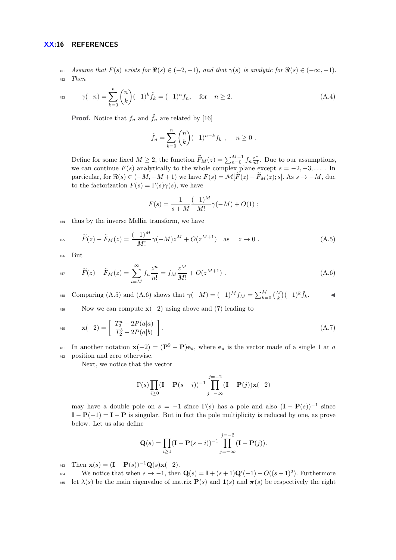#### **XX:16 REFERENCES**

451 *Assume that*  $F(s)$  *exists for*  $\Re(s) \in (-2, -1)$ *, and that*  $\gamma(s)$  *is analytic for*  $\Re(s) \in (-\infty, -1)$ *.* <sup>452</sup> *Then*

$$
\gamma(-n) = \sum_{k=0}^{n} {n \choose k} (-1)^k \tilde{f}_k = (-1)^n f_n, \text{ for } n \ge 2.
$$
 (A.4)

**Proof.** Notice that  $f_n$  and  $\tilde{f}_n$  are related by [\[16\]](#page-13-13)

$$
\tilde{f}_n = \sum_{k=0}^n {n \choose k} (-1)^{n-k} f_k , \quad n \ge 0 .
$$

Define for some fixed  $M \geq 2$ , the function  $\widetilde{F}_M(z) = \sum_{n=0}^{M-1} f_n \frac{z^n}{n!}$  $\frac{z^n}{n!}$ . Due to our assumptions, we can continue  $F(s)$  analytically to the whole complex plane except  $s = -2, -3, \ldots$ . In particular, for  $\Re(s) \in (-M, -M + 1)$  we have  $F(s) = \mathcal{M}[\widetilde{F}(z) - \widetilde{F}_M(z); s]$ . As  $s \to -M$ , due to the factorization  $F(s) = \Gamma(s)\gamma(s)$ , we have

<span id="page-15-0"></span>
$$
F(s) = \frac{1}{s+M} \frac{(-1)^M}{M!} \gamma(-M) + O(1) ;
$$

<sup>454</sup> thus by the inverse Mellin transform, we have

$$
F(z) - \widetilde{F}_M(z) = \frac{(-1)^M}{M!} \gamma(-M) z^M + O(z^{M+1}) \quad \text{as} \quad z \to 0 \; . \tag{A.5}
$$

<span id="page-15-1"></span><sup>456</sup> But

$$
{}_{457} \qquad \widetilde{F}(z) - \widetilde{F}_M(z) = \sum_{i=M}^{\infty} f_n \frac{z^n}{n!} = f_M \frac{z^M}{M!} + O(z^{M+1}). \tag{A.6}
$$

comparing [\(A.5\)](#page-15-0) and [\(A.6\)](#page-15-1) shows that  $\gamma(-M) = (-1)^M f_M = \sum_{k=0}^M {M \choose k} (-1)^k \tilde{f}_k$ .

<sup>459</sup> Now we can compute **x**(−2) using above and [\(7\)](#page-4-1) leading to

460 
$$
\mathbf{x}(-2) = \begin{bmatrix} T_2^a - 2P(a|a) \\ T_2^b - 2P(a|b) \end{bmatrix}.
$$
 (A.7)

461 In another notation  $\mathbf{x}(-2) = (\mathbf{P}^2 - \mathbf{P})\mathbf{e}_a$ , where  $\mathbf{e}_a$  is the vector made of a single 1 at *a* <sup>462</sup> position and zero otherwise.

Next, we notice that the vector

$$
\Gamma(s) \prod_{i \ge 0} (\mathbf{I} - \mathbf{P}(s - i))^{-1} \prod_{j = -\infty}^{j = -2} (\mathbf{I} - \mathbf{P}(j)) \mathbf{x}(-2)
$$

may have a double pole on  $s = -1$  since  $\Gamma(s)$  has a pole and also  $(\mathbf{I} - \mathbf{P}(s))^{-1}$  since  $I - P(-1) = I - P$  is singular. But in fact the pole multiplicity is reduced by one, as prove below. Let us also define

$$
\mathbf{Q}(s) = \prod_{i \ge 1} (\mathbf{I} - \mathbf{P}(s - i))^{-1} \prod_{j = -\infty}^{j = -2} (\mathbf{I} - \mathbf{P}(j)).
$$

 $\mathbf{x}(s) = (\mathbf{I} - \mathbf{P}(s))^{-1} \mathbf{Q}(s) \mathbf{x}(-2).$ 

We notice that when  $s \to -1$ , then  $\mathbf{Q}(s) = \mathbf{I} + (s+1)\mathbf{Q}'(-1) + O((s+1)^2)$ . Furthermore 465 let  $\lambda(s)$  be the main eigenvalue of matrix  $\mathbf{P}(s)$  and  $\mathbf{1}(s)$  and  $\boldsymbol{\pi}(s)$  be respectively the right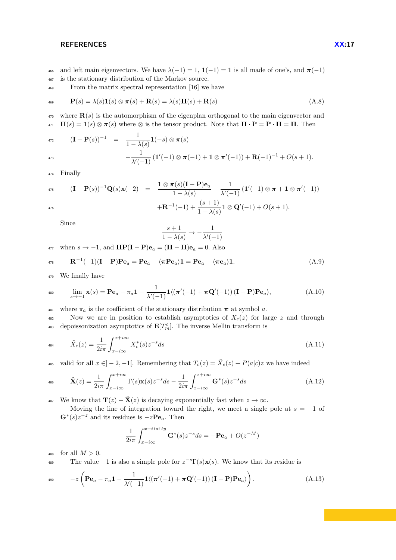### **REFERENCES XX:17**

466 and left main eigenvectors. We have  $\lambda(-1) = 1$ ,  $\mathbf{1}(-1) = \mathbf{1}$  is all made of one's, and  $\pi(-1)$ <sup>467</sup> is the stationary distribution of the Markov source.

<sup>468</sup> From the matrix spectral representation [\[16\]](#page-13-13) we have

$$
\mathbf{P}(s) = \lambda(s)\mathbf{1}(s) \otimes \boldsymbol{\pi}(s) + \mathbf{R}(s) = \lambda(s)\mathbf{\Pi}(s) + \mathbf{R}(s)
$$
\n(A.8)

<sup>470</sup> where **R**(*s*) is the automorphism of the eigenplan orthogonal to the main eigenvector and  $\mathbf{H}(s) = \mathbf{1}(s) \otimes \pi(s)$  where  $\otimes$  is the tensor product. Note that  $\Pi \cdot \mathbf{P} = \mathbf{P} \cdot \Pi = \Pi$ . Then

472 
$$
(\mathbf{I} - \mathbf{P}(s))^{-1} = \frac{1}{1 - \lambda(s)} \mathbf{1}(-s) \otimes \pi(s)
$$
  
\n473 
$$
-\frac{1}{\lambda'(-1)} (\mathbf{1}'(-1) \otimes \pi(-1) + \mathbf{1} \otimes \pi'(-1)) + \mathbf{R}(-1)^{-1} + O(s+1).
$$

$$
\begin{array}{lcl} \mathbf{(I-P(s))^{-1} Q(s) x(-2)} & = & \dfrac{\mathbf{1} \otimes \pi(s) (\mathbf{I-P}) \mathbf{e}_a}{1-\lambda(s)} - \dfrac{1}{\lambda'(-1)} \left( \mathbf{1}'(-1) \otimes \pi + \mathbf{1} \otimes \pi'(-1) \right) \\ & & + \mathbf{R}^{-1}(-1) + \dfrac{(s+1)}{1-\lambda(s)} \mathbf{1} \otimes \mathbf{Q}'(-1) + O(s+1). \end{array}
$$

Since

<sup>474</sup> Finally

$$
\frac{s+1}{1-\lambda(s)} \to -\frac{1}{\lambda'(-1)}
$$

 $477$  when  $s \to -1$ , and **ΠP(I** − **P**)**e**<sub>*a*</sub> = (**Π** − **Π**)**e**<sub>*a*</sub> = 0*.* Also

$$
\mathbf{R}^{-1}(-1)(\mathbf{I}-\mathbf{P})\mathbf{P}\mathbf{e}_a = \mathbf{P}\mathbf{e}_a - \langle \pi \mathbf{P} \mathbf{e}_a \rangle \mathbf{1} = \mathbf{P}\mathbf{e}_a - \langle \pi \mathbf{e}_a \rangle \mathbf{1}.
$$
 (A.9)

<sup>479</sup> We finally have

$$
\lim_{s \to -1} \mathbf{x}(s) = \mathbf{P} \mathbf{e}_a - \pi_a \mathbf{1} - \frac{1}{\lambda'(-1)} \mathbf{1} \langle (\boldsymbol{\pi}'(-1) + \boldsymbol{\pi} \mathbf{Q}'(-1)) (\mathbf{I} - \mathbf{P}) \mathbf{P} \mathbf{e}_a \rangle, \tag{A.10}
$$

<sup>481</sup> where  $\pi_a$  is the coefficient of the stationary distribution  $\pi$  at symbol *a*.

<sup>482</sup> Now we are in position to establish asymptotics of *Xc*(*z*) for large *z* and through depoissonization asymptotics of  $\mathbf{E}[T_m^c]$ . The inverse Mellin transform is

$$
\tilde{X}_c(z) = \frac{1}{2i\pi} \int_{x-i\infty}^{x+i\infty} X_c^*(s) z^{-s} ds
$$
\n(A.11)

<sup>485</sup> valid for all  $x \in ]-2,-1[$ . Remembering that  $T_c(z) = \tilde{X}_c(z) + P(a|c)z$  we have indeed

$$
\tilde{\mathbf{X}}(z) = \frac{1}{2i\pi} \int_{x-i\infty}^{x+i\infty} \Gamma(s)\mathbf{x}(s)z^{-s}ds - \frac{1}{2i\pi} \int_{x-i\infty}^{x+i\infty} \mathbf{G}^*(s)z^{-s}ds \tag{A.12}
$$

<sup>487</sup> We know that  $\mathbf{T}(z) - \tilde{\mathbf{X}}(z)$  is decaying exponentially fast when  $z \to \infty$ .

Moving the line of integration toward the right, we meet a single pole at  $s = -1$  of  $\mathbf{G}^*(s)z^{-z}$  and its residues is  $-z\mathbf{P}\mathbf{e}_a$ . Then

$$
\frac{1}{2i\pi} \int_{x-i\infty}^{x+i\inf ty} \mathbf{G}^*(s) z^{-s} ds = -\mathbf{P} \mathbf{e}_a + O(z^{-M})
$$

488 for all  $M > 0$ .

The value  $-1$  is also a simple pole for  $z^{-s}\Gamma(s)\mathbf{x}(s)$ . We know that its residue is

$$
-z\left(\mathbf{P}\mathbf{e}_a - \pi_a \mathbf{1} - \frac{1}{\lambda'(-1)} \mathbf{1} \langle (\boldsymbol{\pi}'(-1) + \boldsymbol{\pi} \mathbf{Q}'(-1)) (\mathbf{I} - \mathbf{P}) \mathbf{P} \mathbf{e}_a \rangle \right).
$$
(A.13)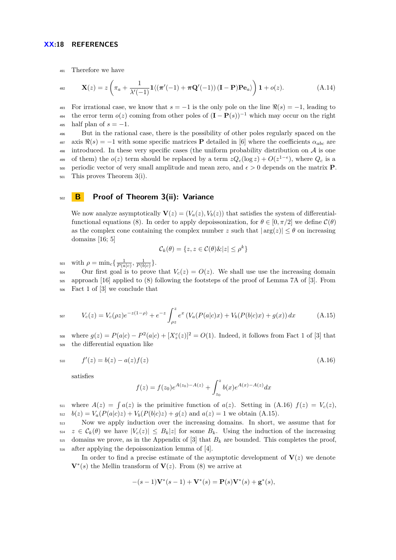#### **XX:18 REFERENCES**

<sup>491</sup> Therefore we have

$$
\mathbf{X}(z) = z \left( \pi_a + \frac{1}{\lambda'(-1)} \mathbf{1} \langle (\boldsymbol{\pi}'(-1) + \boldsymbol{\pi} \mathbf{Q}'(-1)) (\mathbf{I} - \mathbf{P}) \mathbf{P} \mathbf{e}_a \rangle \right) \mathbf{1} + o(z). \tag{A.14}
$$

493 For irrational case, we know that  $s = -1$  is the only pole on the line  $\Re(s) = -1$ , leading to the error term  $o(z)$  coming from other poles of  $(I - P(s))^{-1}$  which may occur on the right  $_{495}$  half plan of  $s = -1$ .

<sup>496</sup> But in the rational case, there is the possibility of other poles regularly spaced on the 497 axis  $\Re(s) = -1$  with some specific matrices **P** detailed in [\[6\]](#page-13-6) where the coefficients  $\alpha_{abc}$  are <sup>498</sup> introduced. In these very specific cases (the uniform probability distribution on  $\mathcal A$  is one of them) the  $o(z)$  term should be replaced by a term  $zQ_c(\log z) + O(z^{1-\epsilon})$ , where  $Q_c$  is a 500 periodic vector of very small amplitude and mean zero, and  $\epsilon > 0$  depends on the matrix **P**. <sup>501</sup> This proves Theorem [3\(](#page-5-1)i).

# <sup>502</sup> **B Proof of Theorem [3\(](#page-5-1)ii): Variance**

We now analyze asymptotically  $\mathbf{V}(z) = (V_a(z), V_b(z))$  that satisfies the system of differential-functional equations [\(8\)](#page-4-3). In order to apply depoissonization, for  $\theta \in [0, \pi/2]$  we define  $\mathcal{C}(\theta)$ as the complex cone containing the complex number *z* such that  $|\arg(z)| \leq \theta$  on increasing domains [\[16;](#page-13-13) [5\]](#page-13-7)

$$
\mathcal{C}_k(\theta) = \{ z, z \in \mathcal{C}(\theta) \& |z| \le \rho^k \}
$$

 $\text{with } ρ = \min_c\{\frac{1}{P(a|c)}, \frac{1}{P(b|c)}\}.$ 

504 Our first goal is to prove that  $V_c(z) = O(z)$ . We shall use use the increasing domain <sup>505</sup> approach [\[16\]](#page-13-13) applied to [\(8\)](#page-4-3) following the footsteps of the proof of Lemma 7A of [\[3\]](#page-13-4). From <sup>506</sup> Fact 1 of [\[3\]](#page-13-4) we conclude that

<span id="page-17-1"></span>
$$
V_c(z) = V_c(\rho z)e^{-z(1-\rho)} + e^{-z} \int_{\rho z}^z e^x \left( V_a(P(a|c)x) + V_b(P(b|c)x) + g(x) \right) dx \tag{A.15}
$$

 $S_{68}$  where  $g(z) = P(a|c) - P^{2}(a|c) + [X_{z}^{c}(z)]^{2} = O(1)$ . Indeed, it follows from Fact 1 of [\[3\]](#page-13-4) that <sup>509</sup> the differential equation like

$$
f'(z) = b(z) - a(z)f(z)
$$
\n(A.16)

satisfies

<span id="page-17-0"></span>
$$
f(z) = f(z_0)e^{A(z_0) - A(z)} + \int_{z_0}^{z} b(x)e^{A(x) - A(z)}dx
$$

 $S_{511}$  where  $A(z) = \int a(z)$  is the primitive function of  $a(z)$ . Setting in [\(A.16\)](#page-17-0)  $f(z) = V_c(z)$ ,  $b(z) = V_a(P(a|c)z) + V_b(P(b|c)z) + g(z)$  and  $a(z) = 1$  we obtain [\(A.15\)](#page-17-1).

 Now we apply induction over the increasing domains. In short, we assume that for  $z \in \mathcal{C}_k(\theta)$  we have  $|V_c(z)| \leq B_k|z|$  for some  $B_k$ . Using the induction of the increasing domains we prove, as in the Appendix of [\[3\]](#page-13-4) that  $B_k$  are bounded. This completes the proof, after applying the depoissonization lemma of [\[4\]](#page-13-15).

In order to find a precise estimate of the asymptotic development of  $V(z)$  we denote  **the Mellin transform of**  $**V**(z)$ **. From [\(8\)](#page-4-3) we arrive at** 

$$
-(s-1)\mathbf{V}^*(s-1)+\mathbf{V}^*(s)=\mathbf{P}(s)\mathbf{V}^*(s)+\mathbf{g}^*(s),
$$